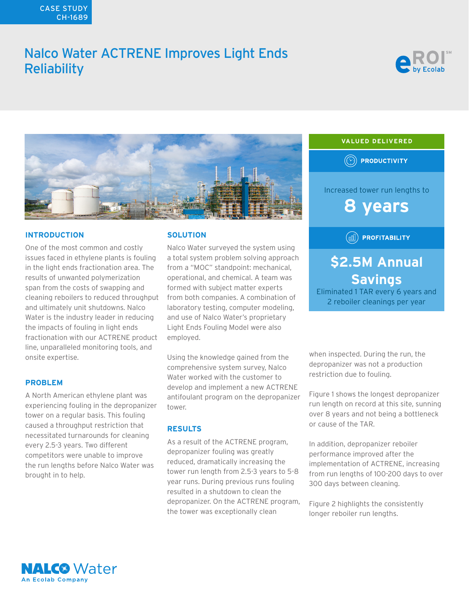## CASE STUDY CH-1689

# Nalco Water ACTRENE Improves Light Ends **Reliability**





### **INTRODUCTION**

One of the most common and costly issues faced in ethylene plants is fouling in the light ends fractionation area. The results of unwanted polymerization span from the costs of swapping and cleaning reboilers to reduced throughput and ultimately unit shutdowns. Nalco Water is the industry leader in reducing the impacts of fouling in light ends fractionation with our ACTRENE product line, unparalleled monitoring tools, and onsite expertise.

#### **PROBLEM**

A North American ethylene plant was experiencing fouling in the depropanizer tower on a regular basis. This fouling caused a throughput restriction that necessitated turnarounds for cleaning every 2.5-3 years. Two different competitors were unable to improve the run lengths before Nalco Water was brought in to help.

## **SOLUTION**

Nalco Water surveyed the system using a total system problem solving approach from a "MOC" standpoint: mechanical, operational, and chemical. A team was formed with subject matter experts from both companies. A combination of laboratory testing, computer modeling, and use of Nalco Water's proprietary Light Ends Fouling Model were also employed.

Using the knowledge gained from the comprehensive system survey, Nalco Water worked with the customer to develop and implement a new ACTRENE antifoulant program on the depropanizer tower.

## **RESULTS**

As a result of the ACTRENE program, depropanizer fouling was greatly reduced, dramatically increasing the tower run length from 2.5-3 years to 5-8 year runs. During previous runs fouling resulted in a shutdown to clean the depropanizer. On the ACTRENE program, the tower was exceptionally clean



Eliminated 1 TAR every 6 years and 2 reboiler cleanings per year

when inspected. During the run, the depropanizer was not a production restriction due to fouling.

Figure 1 shows the longest depropanizer run length on record at this site, sunning over 8 years and not being a bottleneck or cause of the TAR.

In addition, depropanizer reboiler performance improved after the implementation of ACTRENE, increasing from run lengths of 100-200 days to over 300 days between cleaning.

Figure 2 highlights the consistently longer reboiler run lengths.